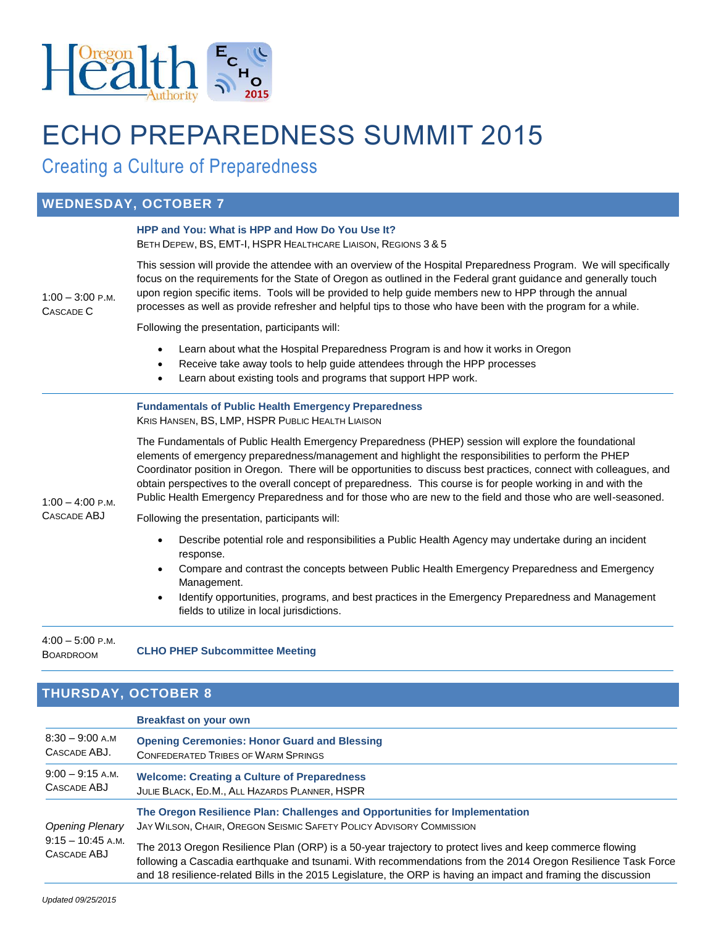

# ECHO PREPAREDNESS SUMMIT 2015

Creating a Culture of Preparedness

### **WEDNESDAY, OCTOBER 7**

| $1:00 - 3:00$ P.M.<br>CASCADE C   | HPP and You: What is HPP and How Do You Use It?<br>BETH DEPEW, BS, EMT-I, HSPR HEALTHCARE LIAISON, REGIONS 3 & 5                                                                                                                                                                                                                                                                                                                                                                                                                                                      |
|-----------------------------------|-----------------------------------------------------------------------------------------------------------------------------------------------------------------------------------------------------------------------------------------------------------------------------------------------------------------------------------------------------------------------------------------------------------------------------------------------------------------------------------------------------------------------------------------------------------------------|
|                                   | This session will provide the attendee with an overview of the Hospital Preparedness Program. We will specifically<br>focus on the requirements for the State of Oregon as outlined in the Federal grant guidance and generally touch<br>upon region specific items. Tools will be provided to help guide members new to HPP through the annual<br>processes as well as provide refresher and helpful tips to those who have been with the program for a while.                                                                                                       |
|                                   | Following the presentation, participants will:                                                                                                                                                                                                                                                                                                                                                                                                                                                                                                                        |
|                                   | Learn about what the Hospital Preparedness Program is and how it works in Oregon<br>Receive take away tools to help guide attendees through the HPP processes<br>$\bullet$<br>Learn about existing tools and programs that support HPP work.<br>$\bullet$                                                                                                                                                                                                                                                                                                             |
| $1:00 - 4:00$ P.M.<br>CASCADE ABJ | <b>Fundamentals of Public Health Emergency Preparedness</b><br>KRIS HANSEN, BS, LMP, HSPR PUBLIC HEALTH LIAISON                                                                                                                                                                                                                                                                                                                                                                                                                                                       |
|                                   | The Fundamentals of Public Health Emergency Preparedness (PHEP) session will explore the foundational<br>elements of emergency preparedness/management and highlight the responsibilities to perform the PHEP<br>Coordinator position in Oregon. There will be opportunities to discuss best practices, connect with colleagues, and<br>obtain perspectives to the overall concept of preparedness. This course is for people working in and with the<br>Public Health Emergency Preparedness and for those who are new to the field and those who are well-seasoned. |
|                                   | Following the presentation, participants will:                                                                                                                                                                                                                                                                                                                                                                                                                                                                                                                        |
|                                   | Describe potential role and responsibilities a Public Health Agency may undertake during an incident<br>response.<br>Compare and contrast the concepts between Public Health Emergency Preparedness and Emergency<br>Management.                                                                                                                                                                                                                                                                                                                                      |

 Identify opportunities, programs, and best practices in the Emergency Preparedness and Management fields to utilize in local jurisdictions.

4:00 – 5:00 P.M. BOARDROOM **CLHO PHEP Subcommittee Meeting**

## **THURSDAY, OCTOBER 8**

#### **Breakfast on your own** 8:30 – 9:00 A.M CASCADE ABJ. **Opening Ceremonies: Honor Guard and Blessing** CONFEDERATED TRIBES OF WARM SPRINGS 9:00 – 9:15 A.M. CASCADE ABJ **Welcome: Creating a Culture of Preparedness** JULIE BLACK, ED.M., ALL HAZARDS PLANNER, HSPR *Opening Plenary* 9:15 – 10:45 A.M. CASCADE ABJ **The Oregon Resilience Plan: Challenges and Opportunities for Implementation** JAY WILSON, CHAIR, OREGON SEISMIC SAFETY POLICY ADVISORY COMMISSION The 2013 Oregon Resilience Plan (ORP) is a 50-year trajectory to protect lives and keep commerce flowing following a Cascadia earthquake and tsunami. With recommendations from the 2014 Oregon Resilience Task Force and 18 resilience-related Bills in the 2015 Legislature, the ORP is having an impact and framing the discussion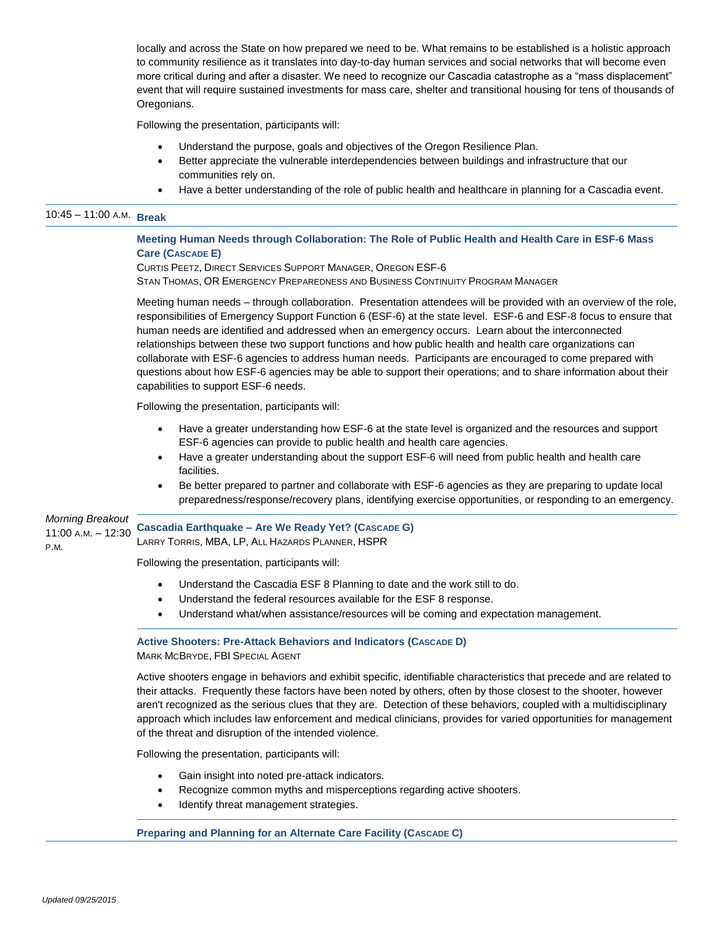locally and across the State on how prepared we need to be. What remains to be established is a holistic approach to community resilience as it translates into day-to-day human services and social networks that will become even more critical during and after a disaster. We need to recognize our Cascadia catastrophe as a "mass displacement" event that will require sustained investments for mass care, shelter and transitional housing for tens of thousands of Oregonians.

Following the presentation, participants will:

- Understand the purpose, goals and objectives of the Oregon Resilience Plan.
- Better appreciate the vulnerable interdependencies between buildings and infrastructure that our communities rely on.
- Have a better understanding of the role of public health and healthcare in planning for a Cascadia event.

# 10:45 – 11:00 <sup>A</sup>.M. **Break**

**Meeting Human Needs through Collaboration: The Role of Public Health and Health Care in ESF-6 Mass Care (CASCADE E)**

CURTIS PEETZ, DIRECT SERVICES SUPPORT MANAGER, OREGON ESF-6 STAN THOMAS, OR EMERGENCY PREPAREDNESS AND BUSINESS CONTINUITY PROGRAM MANAGER

Meeting human needs – through collaboration. Presentation attendees will be provided with an overview of the role, responsibilities of Emergency Support Function 6 (ESF-6) at the state level. ESF-6 and ESF-8 focus to ensure that human needs are identified and addressed when an emergency occurs. Learn about the interconnected relationships between these two support functions and how public health and health care organizations can collaborate with ESF-6 agencies to address human needs. Participants are encouraged to come prepared with questions about how ESF-6 agencies may be able to support their operations; and to share information about their capabilities to support ESF-6 needs.

Following the presentation, participants will:

- Have a greater understanding how ESF-6 at the state level is organized and the resources and support ESF-6 agencies can provide to public health and health care agencies.
- Have a greater understanding about the support ESF-6 will need from public health and health care facilities.
- Be better prepared to partner and collaborate with ESF-6 agencies as they are preparing to update local preparedness/response/recovery plans, identifying exercise opportunities, or responding to an emergency.

#### *Morning Breakout* 11:00 A.M. – 12:30 P.M. **Cascadia Earthquake – Are We Ready Yet? (CASCADE G)** LARRY TORRIS, MBA, LP, ALL HAZARDS PLANNER, HSPR

Following the presentation, participants will:

- Understand the Cascadia ESF 8 Planning to date and the work still to do.
- Understand the federal resources available for the ESF 8 response.
- Understand what/when assistance/resources will be coming and expectation management.

#### **Active Shooters: Pre-Attack Behaviors and Indicators (CASCADE D)**

MARK MCBRYDE, FBI SPECIAL AGENT

Active shooters engage in behaviors and exhibit specific, identifiable characteristics that precede and are related to their attacks. Frequently these factors have been noted by others, often by those closest to the shooter, however aren't recognized as the serious clues that they are. Detection of these behaviors, coupled with a multidisciplinary approach which includes law enforcement and medical clinicians, provides for varied opportunities for management of the threat and disruption of the intended violence.

Following the presentation, participants will:

- Gain insight into noted pre-attack indicators.
- Recognize common myths and misperceptions regarding active shooters.
- Identify threat management strategies.

#### **Preparing and Planning for an Alternate Care Facility (CASCADE C)**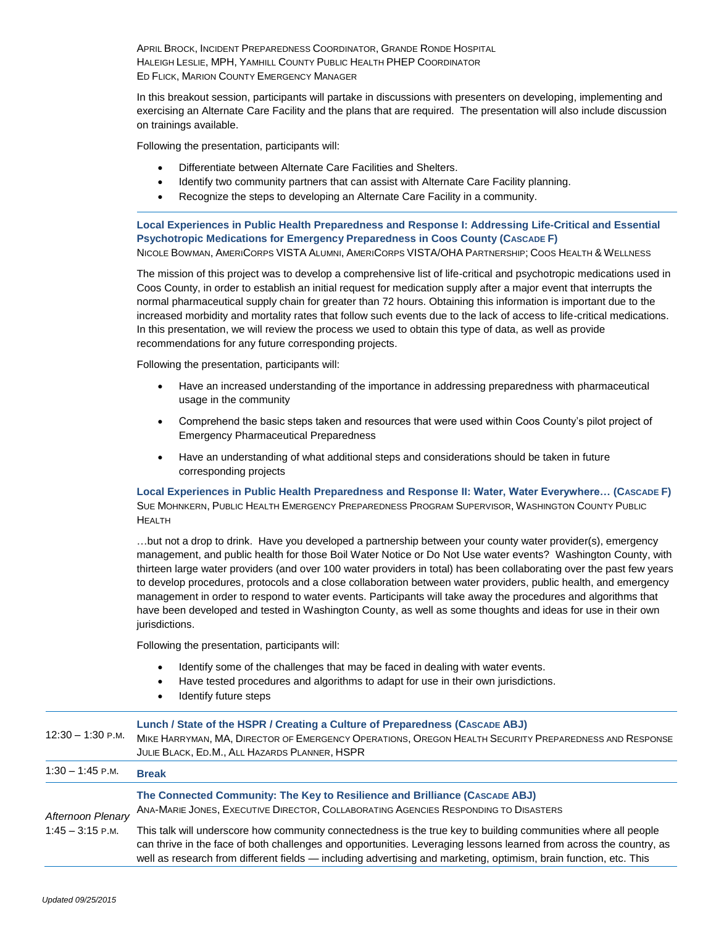APRIL BROCK, INCIDENT PREPAREDNESS COORDINATOR, GRANDE RONDE HOSPITAL HALEIGH LESLIE, MPH, YAMHILL COUNTY PUBLIC HEALTH PHEP COORDINATOR ED FLICK, MARION COUNTY EMERGENCY MANAGER

In this breakout session, participants will partake in discussions with presenters on developing, implementing and exercising an Alternate Care Facility and the plans that are required. The presentation will also include discussion on trainings available.

Following the presentation, participants will:

- Differentiate between Alternate Care Facilities and Shelters.
- Identify two community partners that can assist with Alternate Care Facility planning.
- Recognize the steps to developing an Alternate Care Facility in a community.

**Local Experiences in Public Health Preparedness and Response I: Addressing Life-Critical and Essential Psychotropic Medications for Emergency Preparedness in Coos County (CASCADE F)** NICOLE BOWMAN, AMERICORPS VISTA ALUMNI, AMERICORPS VISTA/OHA PARTNERSHIP; COOS HEALTH & WELLNESS

The mission of this project was to develop a comprehensive list of life-critical and psychotropic medications used in Coos County, in order to establish an initial request for medication supply after a major event that interrupts the normal pharmaceutical supply chain for greater than 72 hours. Obtaining this information is important due to the increased morbidity and mortality rates that follow such events due to the lack of access to life-critical medications. In this presentation, we will review the process we used to obtain this type of data, as well as provide recommendations for any future corresponding projects.

Following the presentation, participants will:

- Have an increased understanding of the importance in addressing preparedness with pharmaceutical usage in the community
- Comprehend the basic steps taken and resources that were used within Coos County's pilot project of Emergency Pharmaceutical Preparedness
- Have an understanding of what additional steps and considerations should be taken in future corresponding projects

**Local Experiences in Public Health Preparedness and Response II: Water, Water Everywhere… (CASCADE F)** SUE MOHNKERN, PUBLIC HEALTH EMERGENCY PREPAREDNESS PROGRAM SUPERVISOR, WASHINGTON COUNTY PUBLIC **HEALTH** 

…but not a drop to drink. Have you developed a partnership between your county water provider(s), emergency management, and public health for those Boil Water Notice or Do Not Use water events? Washington County, with thirteen large water providers (and over 100 water providers in total) has been collaborating over the past few years to develop procedures, protocols and a close collaboration between water providers, public health, and emergency management in order to respond to water events. Participants will take away the procedures and algorithms that have been developed and tested in Washington County, as well as some thoughts and ideas for use in their own jurisdictions.

Following the presentation, participants will:

- Identify some of the challenges that may be faced in dealing with water events.
- Have tested procedures and algorithms to adapt for use in their own jurisdictions.
- Identify future steps

| 12:30 – 1:30 р.м.                       | Lunch / State of the HSPR / Creating a Culture of Preparedness (CASCADE ABJ)<br>MIKE HARRYMAN, MA, DIRECTOR OF EMERGENCY OPERATIONS, OREGON HEALTH SECURITY PREPAREDNESS AND RESPONSE<br>JULIE BLACK, ED.M., ALL HAZARDS PLANNER, HSPR                                                                                                                     |
|-----------------------------------------|------------------------------------------------------------------------------------------------------------------------------------------------------------------------------------------------------------------------------------------------------------------------------------------------------------------------------------------------------------|
| $1:30 - 1:45$ P.M.                      | <b>Break</b>                                                                                                                                                                                                                                                                                                                                               |
| Afternoon Plenary<br>$1:45 - 3:15$ P.M. | The Connected Community: The Key to Resilience and Brilliance (CASCADE ABJ)<br>ANA-MARIE JONES, EXECUTIVE DIRECTOR, COLLABORATING AGENCIES RESPONDING TO DISASTERS                                                                                                                                                                                         |
|                                         | This talk will underscore how community connectedness is the true key to building communities where all people<br>can thrive in the face of both challenges and opportunities. Leveraging lessons learned from across the country, as<br>well as research from different fields — including advertising and marketing, optimism, brain function, etc. This |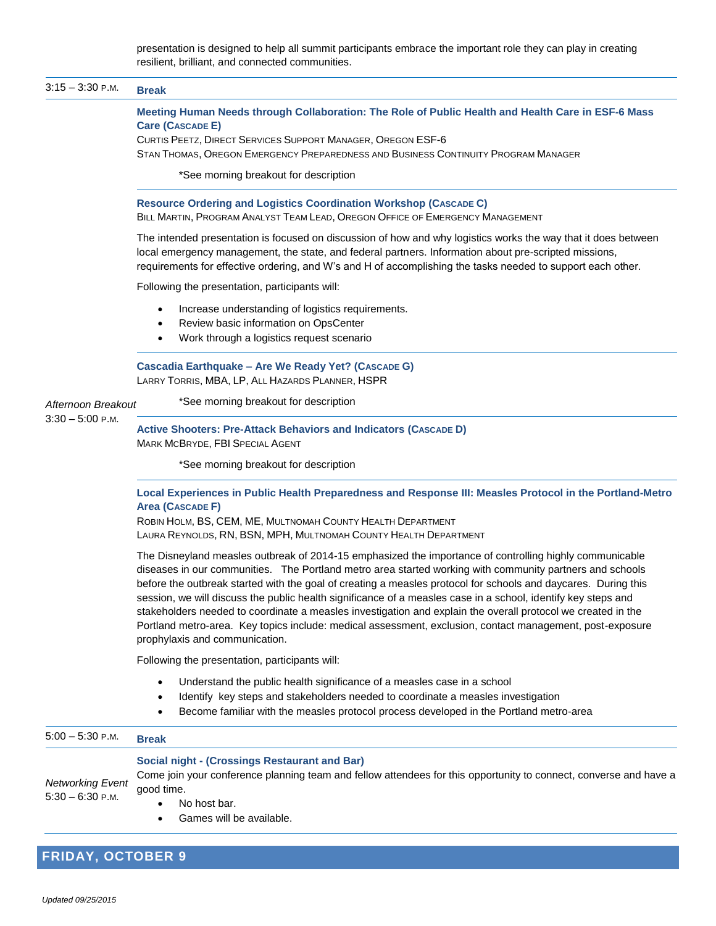presentation is designed to help all summit participants embrace the important role they can play in creating resilient, brilliant, and connected communities.

| Meeting Human Needs through Collaboration: The Role of Public Health and Health Care in ESF-6 Mass<br><b>Care (CASCADE E)</b><br>CURTIS PEETZ, DIRECT SERVICES SUPPORT MANAGER, OREGON ESF-6<br>STAN THOMAS, OREGON EMERGENCY PREPAREDNESS AND BUSINESS CONTINUITY PROGRAM MANAGER<br>*See morning breakout for description<br>Resource Ordering and Logistics Coordination Workshop (CASCADE C)<br>BILL MARTIN, PROGRAM ANALYST TEAM LEAD, OREGON OFFICE OF EMERGENCY MANAGEMENT<br>The intended presentation is focused on discussion of how and why logistics works the way that it does between<br>local emergency management, the state, and federal partners. Information about pre-scripted missions,<br>requirements for effective ordering, and W's and H of accomplishing the tasks needed to support each other.<br>Following the presentation, participants will:<br>Increase understanding of logistics requirements.<br>Review basic information on OpsCenter<br>Work through a logistics request scenario<br>Cascadia Earthquake - Are We Ready Yet? (CASCADE G)<br>LARRY TORRIS, MBA, LP, ALL HAZARDS PLANNER, HSPR<br>*See morning breakout for description<br>Afternoon Breakout<br><b>Active Shooters: Pre-Attack Behaviors and Indicators (CASCADE D)</b> |
|-------------------------------------------------------------------------------------------------------------------------------------------------------------------------------------------------------------------------------------------------------------------------------------------------------------------------------------------------------------------------------------------------------------------------------------------------------------------------------------------------------------------------------------------------------------------------------------------------------------------------------------------------------------------------------------------------------------------------------------------------------------------------------------------------------------------------------------------------------------------------------------------------------------------------------------------------------------------------------------------------------------------------------------------------------------------------------------------------------------------------------------------------------------------------------------------------------------------------------------------------------------------------------|
|                                                                                                                                                                                                                                                                                                                                                                                                                                                                                                                                                                                                                                                                                                                                                                                                                                                                                                                                                                                                                                                                                                                                                                                                                                                                               |
|                                                                                                                                                                                                                                                                                                                                                                                                                                                                                                                                                                                                                                                                                                                                                                                                                                                                                                                                                                                                                                                                                                                                                                                                                                                                               |
|                                                                                                                                                                                                                                                                                                                                                                                                                                                                                                                                                                                                                                                                                                                                                                                                                                                                                                                                                                                                                                                                                                                                                                                                                                                                               |
|                                                                                                                                                                                                                                                                                                                                                                                                                                                                                                                                                                                                                                                                                                                                                                                                                                                                                                                                                                                                                                                                                                                                                                                                                                                                               |
|                                                                                                                                                                                                                                                                                                                                                                                                                                                                                                                                                                                                                                                                                                                                                                                                                                                                                                                                                                                                                                                                                                                                                                                                                                                                               |
|                                                                                                                                                                                                                                                                                                                                                                                                                                                                                                                                                                                                                                                                                                                                                                                                                                                                                                                                                                                                                                                                                                                                                                                                                                                                               |
|                                                                                                                                                                                                                                                                                                                                                                                                                                                                                                                                                                                                                                                                                                                                                                                                                                                                                                                                                                                                                                                                                                                                                                                                                                                                               |
|                                                                                                                                                                                                                                                                                                                                                                                                                                                                                                                                                                                                                                                                                                                                                                                                                                                                                                                                                                                                                                                                                                                                                                                                                                                                               |
| MARK MCBRYDE, FBI SPECIAL AGENT                                                                                                                                                                                                                                                                                                                                                                                                                                                                                                                                                                                                                                                                                                                                                                                                                                                                                                                                                                                                                                                                                                                                                                                                                                               |
| *See morning breakout for description                                                                                                                                                                                                                                                                                                                                                                                                                                                                                                                                                                                                                                                                                                                                                                                                                                                                                                                                                                                                                                                                                                                                                                                                                                         |
| Local Experiences in Public Health Preparedness and Response III: Measles Protocol in the Portland-Metro<br><b>Area (CASCADE F)</b><br>ROBIN HOLM, BS, CEM, ME, MULTNOMAH COUNTY HEALTH DEPARTMENT<br>LAURA REYNOLDS, RN, BSN, MPH, MULTNOMAH COUNTY HEALTH DEPARTMENT                                                                                                                                                                                                                                                                                                                                                                                                                                                                                                                                                                                                                                                                                                                                                                                                                                                                                                                                                                                                        |
| The Disneyland measles outbreak of 2014-15 emphasized the importance of controlling highly communicable<br>diseases in our communities. The Portland metro area started working with community partners and schools<br>before the outbreak started with the goal of creating a measles protocol for schools and daycares. During this<br>session, we will discuss the public health significance of a measles case in a school, identify key steps and<br>stakeholders needed to coordinate a measles investigation and explain the overall protocol we created in the<br>Portland metro-area. Key topics include: medical assessment, exclusion, contact management, post-exposure<br>prophylaxis and communication.                                                                                                                                                                                                                                                                                                                                                                                                                                                                                                                                                         |
| Following the presentation, participants will:                                                                                                                                                                                                                                                                                                                                                                                                                                                                                                                                                                                                                                                                                                                                                                                                                                                                                                                                                                                                                                                                                                                                                                                                                                |
| Understand the public health significance of a measles case in a school<br>Identify key steps and stakeholders needed to coordinate a measles investigation<br>Become familiar with the measles protocol process developed in the Portland metro-area                                                                                                                                                                                                                                                                                                                                                                                                                                                                                                                                                                                                                                                                                                                                                                                                                                                                                                                                                                                                                         |
| <b>Break</b>                                                                                                                                                                                                                                                                                                                                                                                                                                                                                                                                                                                                                                                                                                                                                                                                                                                                                                                                                                                                                                                                                                                                                                                                                                                                  |
| <b>Social night - (Crossings Restaurant and Bar)</b><br>Come join your conference planning team and fellow attendees for this opportunity to connect, converse and have a<br>good time.<br>No host bar.<br>Games will be available.                                                                                                                                                                                                                                                                                                                                                                                                                                                                                                                                                                                                                                                                                                                                                                                                                                                                                                                                                                                                                                           |
|                                                                                                                                                                                                                                                                                                                                                                                                                                                                                                                                                                                                                                                                                                                                                                                                                                                                                                                                                                                                                                                                                                                                                                                                                                                                               |

# **FRIDAY, OCTOBER 9**